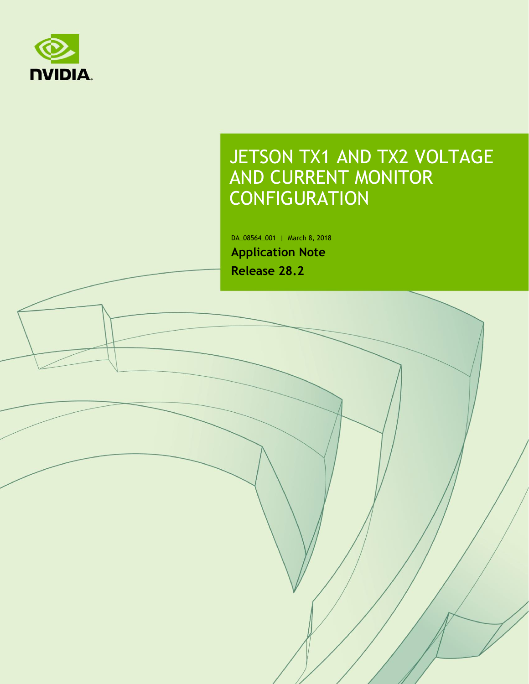

## JETSON TX1 AND TX2 VOLTAGE AND CURRENT MONITOR CONFIGURATION

DA\_08564\_001 | March 8, 2018 **Application Note Release 28.2**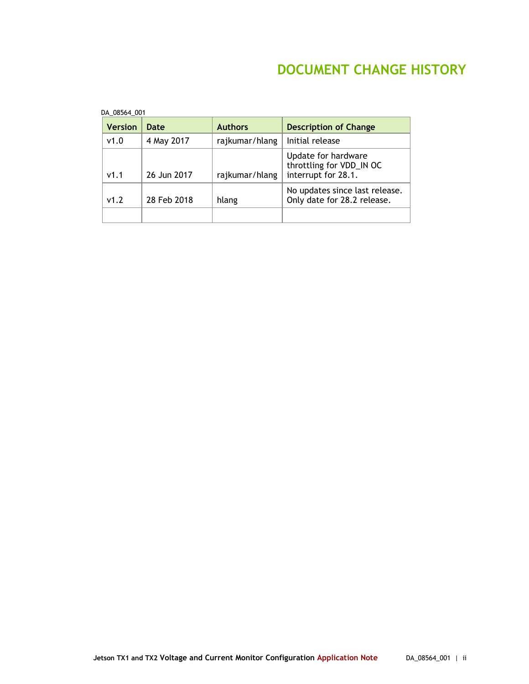### **DOCUMENT CHANGE HISTORY**

| DA 08564 001 |                |             |                |                                                                        |
|--------------|----------------|-------------|----------------|------------------------------------------------------------------------|
|              | <b>Version</b> | Date        | <b>Authors</b> | <b>Description of Change</b>                                           |
|              | v1.0           | 4 May 2017  | rajkumar/hlang | Initial release                                                        |
|              | v1.1           | 26 Jun 2017 | rajkumar/hlang | Update for hardware<br>throttling for VDD_IN OC<br>interrupt for 28.1. |
|              | v1.2           | 28 Feb 2018 | hlang          | No updates since last release.<br>Only date for 28.2 release.          |
|              |                |             |                |                                                                        |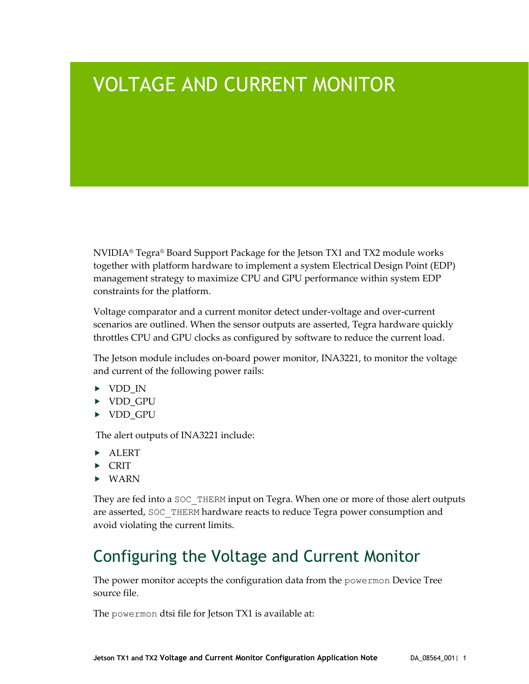# VOLTAGE AND CURRENT MONITOR

NVIDIA® Tegra® Board Support Package for the Jetson TX1 and TX2 module works together with platform hardware to implement a system Electrical Design Point (EDP) management strategy to maximize CPU and GPU performance within system EDP constraints for the platform.

Voltage comparator and a current monitor detect under-voltage and over-current scenarios are outlined. When the sensor outputs are asserted, Tegra hardware quickly throttles CPU and GPU clocks as configured by software to reduce the current load.

The Jetson module includes on-board power monitor, INA3221, to monitor the voltage and current of the following power rails:

- ▶ VDD\_IN
- ▶ VDD GPU
- ▶ VDD GPU

The alert outputs of INA3221 include:

- **ALERT**
- $\triangleright$  CRIT
- $\triangleright$  WARN

They are fed into a SOC THERM input on Tegra. When one or more of those alert outputs are asserted, SOC\_THERM hardware reacts to reduce Tegra power consumption and avoid violating the current limits.

### Configuring the Voltage and Current Monitor

The power monitor accepts the configuration data from the powermon Device Tree source file.

The powermon dtsi file for Jetson TX1 is available at: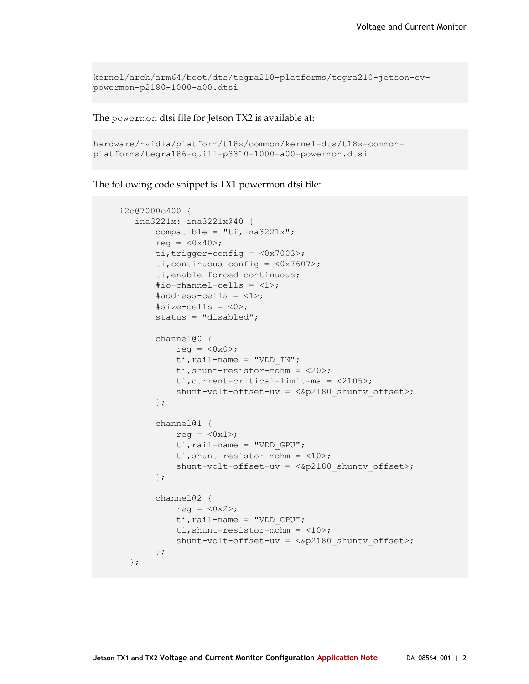```
kernel/arch/arm64/boot/dts/tegra210-platforms/tegra210-jetson-cv-
powermon-p2180-1000-a00.dtsi
```
The powermon dtsi file for Jetson TX2 is available at:

```
hardware/nvidia/platform/t18x/common/kernel-dts/t18x-common-
platforms/tegra186-quill-p3310-1000-a00-powermon.dtsi
```
The following code snippet is TX1 powermon dtsi file:

```
 i2c@7000c400 {
    ina3221x: ina3221x@40 {
        compatible = "ti, ina3221x";
        reg = \langle 0 \times 40 \rangle;
        ti, trigger-config = \langle 0x7003 \rangle;
        ti, continuous-config = \langle 0x7607 \rangle;
         ti,enable-forced-continuous;
         #io-channel-cells = <1>;
        #address-cells = <1>;
        #size-cells = <0>;
         status = "disabled";
         channel@0 {
           reg = \langle 0 \times 0 \rangle;
            ti, rail-name = "VDD IN";
             ti,shunt-resistor-mohm = <20>;
             ti,current-critical-limit-ma = <2105>;
             shunt-volt-offset-uv = <&p2180 shuntv offset>;
         };
        channel@1 {
            reg = \langle 0x1 \rangle;
            ti, rail-name = "VDD GPU";
             ti,shunt-resistor-mohm = <10>;
            shunt-volt-offset-uv = <&p2180 shuntv offset>;
         };
         channel@2 {
           reg = <0x2>;
            ti, rail-name = "VDD CPU";
             ti,shunt-resistor-mohm = <10>;
            shunt-volt-offset-uv = <&p2180 shuntv offset>;
         };
   };
```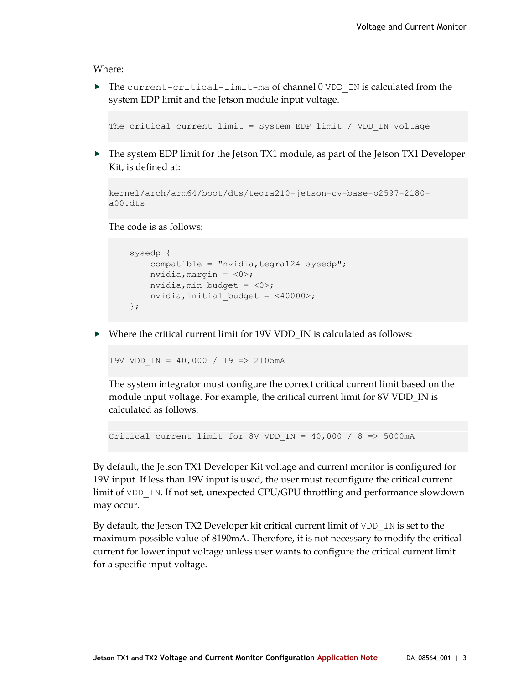Where:

 $\triangleright$  The current-critical-limit-ma of channel 0 VDD IN is calculated from the system EDP limit and the Jetson module input voltage.

The critical current limit = System EDP limit / VDD IN voltage

▶ The system EDP limit for the Jetson TX1 module, as part of the Jetson TX1 Developer Kit, is defined at:

```
kernel/arch/arm64/boot/dts/tegra210-jetson-cv-base-p2597-2180-
a00.dts
```
The code is as follows:

```
 sysedp {
     compatible = "nvidia, tegra124-sysedp";
     nvidia, margin = \langle 0 \rangle;
    nvidia, min budget = \langle 0 \rangle;
     nvidia, initial budget = \langle 40000 \rangle;
 };
```
▶ Where the critical current limit for 19V VDD\_IN is calculated as follows:

19V VDD\_IN = 40,000 / 19 => 2105mA

The system integrator must configure the correct critical current limit based on the module input voltage. For example, the critical current limit for 8V VDD\_IN is calculated as follows:

Critical current limit for 8V VDD IN = 40,000 / 8 => 5000mA

By default, the Jetson TX1 Developer Kit voltage and current monitor is configured for 19V input. If less than 19V input is used, the user must reconfigure the critical current limit of VDD IN. If not set, unexpected CPU/GPU throttling and performance slowdown may occur.

By default, the Jetson TX2 Developer kit critical current limit of VDD IN is set to the maximum possible value of 8190mA. Therefore, it is not necessary to modify the critical current for lower input voltage unless user wants to configure the critical current limit for a specific input voltage.